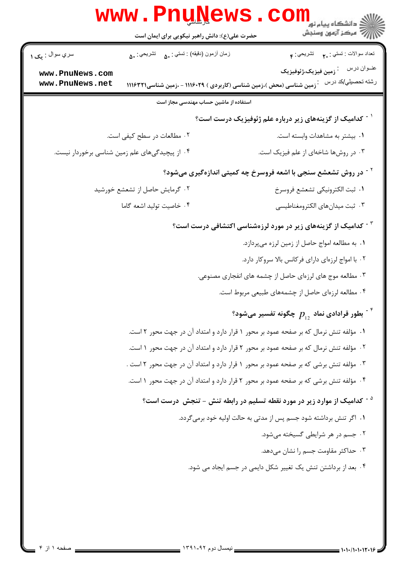|                                                                            | <u>WWW • LIINTAMP</u><br>حضرت علی(ع): دانش راهبر نیکویی برای ایمان است                | ڪ دانشڪاه پيام نور<br>7- مرڪز آزمون وسنجش                                           |  |  |
|----------------------------------------------------------------------------|---------------------------------------------------------------------------------------|-------------------------------------------------------------------------------------|--|--|
| سري سوال : يک ۱                                                            | زمان أزمون (دقيقه) : تستى : ۵۰     تشريحي : ۵۰                                        | تعداد سوالات : تستي : م           تشريحي : م                                        |  |  |
| www.PnuNews.com<br>www.PnuNews.net                                         | <sup>:</sup> زمین شناسی (محض )،زمین شناسی (کاربردی ) ۱۱۱۶۰۲۹ - ،زمین شناسی۱۱۱۶۳۲۱     | عنــوان درس<br>.<br>· زمین فیزیک،ژئوفیزیک<br>رشته تحصيلي/كد درس                     |  |  |
| استفاده از ماشین حساب مهندسی مجاز است                                      |                                                                                       |                                                                                     |  |  |
|                                                                            |                                                                                       | <sup>۱ -</sup> کدامیک از گزینههای زیر درباره علم ژئوفیزیک درست است؟                 |  |  |
|                                                                            | ۰۲ مطالعات در سطح کیفی است.                                                           | ۰۱ بیشتر به مشاهدات وابسته است.                                                     |  |  |
|                                                                            | ۰۴ از پیچیدگیهای علم زمین شناسی برخوردار نیست.                                        | ۰۳ در روشها شاخهای از علم فیزیک است.                                                |  |  |
| <sup>۲ -</sup> در روش تشعشع سنجی با اشعه فروسرخ چه کمیتی اندازهگیری میشود؟ |                                                                                       |                                                                                     |  |  |
|                                                                            | ۰۲ گرمایش حاصل از تشعشع خورشید                                                        | ٠١. ثبت الكترونيكي تشعشع فروسرخ                                                     |  |  |
|                                                                            | ۰۴ خاصيت توليد اشعه گاما                                                              | ۰۳ ثبت ميدان هاي الكترومغناطيسي                                                     |  |  |
|                                                                            |                                                                                       | <sup>۳ -</sup> کدامیک از گزینههای زیر در مورد لرزهشناسی اکتشافی درست است؟           |  |  |
|                                                                            |                                                                                       | ٠١. به مطالعه امواج حاصل از زمين لرزه ميپردازد.                                     |  |  |
|                                                                            |                                                                                       | ۰۲ با امواج لرزهای دارای فرکانس بالا سروکار دارد.                                   |  |  |
|                                                                            |                                                                                       | ۰۳ مطالعه موج های لرزهای حاصل از چشمه های انفجاری مصنوعی.                           |  |  |
|                                                                            |                                                                                       | ۰۴ مطالعه لرزهای حاصل از چشمههای طبیعی مربوط است.                                   |  |  |
|                                                                            |                                                                                       | <sup>۰۴</sup> بطور قرادادی نماد $p_{_{12}}^{}$ چگونه تفسیر میشود $^\ast$            |  |  |
|                                                                            | ١. مؤلفه تنش نرمال كه بر صفحه عمود بر محور ١ قرار دارد و امتداد آن در جهت محور ٢ است. |                                                                                     |  |  |
|                                                                            | ٠٢ مؤلفه تنش نرمال كه بر صفحه عمود بر محور ٢ قرار دارد و امتداد آن در جهت محور ١ است. |                                                                                     |  |  |
|                                                                            | ۰۳ مؤلفه تنش برشی که بر صفحه عمود بر محور ۱ قرار دارد و امتداد آن در جهت محور ۲ است . |                                                                                     |  |  |
|                                                                            | ۰۴ مؤلفه تنش برشی که بر صفحه عمود بر محور ۲ قرار دارد و امتداد آن در جهت محور ۱ است.  |                                                                                     |  |  |
|                                                                            |                                                                                       | <sup>۵ -</sup> کدامیک از موارد زیر در مورد نقطه تسلیم در رابطه تنش – تنجش درست است؟ |  |  |
|                                                                            |                                                                                       | ۰۱ اگر تنش برداشته شود جسم پس از مدتی به حالت اولیه خود برمیگردد.                   |  |  |
|                                                                            |                                                                                       | ۰۲ جسم در هر شرایطی گسیخته می شود.                                                  |  |  |
|                                                                            |                                                                                       | ۰۳ حداکثر مقاومت جسم را نشان میدهد.                                                 |  |  |
|                                                                            |                                                                                       | ۰۴ بعد از برداشتن تنش یک تغییر شکل دایمی در جسم ایجاد می شود.                       |  |  |
|                                                                            |                                                                                       |                                                                                     |  |  |
|                                                                            |                                                                                       |                                                                                     |  |  |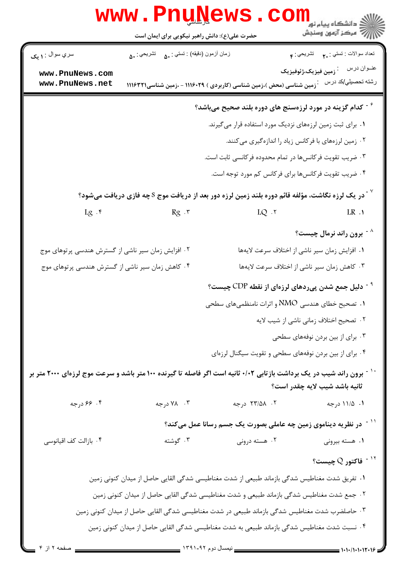| www.PnuNews.com                                                                                                                                                   |                                                                                                |                                                              |                                                 |  |
|-------------------------------------------------------------------------------------------------------------------------------------------------------------------|------------------------------------------------------------------------------------------------|--------------------------------------------------------------|-------------------------------------------------|--|
|                                                                                                                                                                   | حضرت علی(ع): دانش راهبر نیکویی برای ایمان است                                                  |                                                              |                                                 |  |
| سري سوال : <b>۱ يک</b>                                                                                                                                            | زمان أزمون (دقيقه) : تستي : ۵۰     تشريحي : ۵۰                                                 |                                                              |                                                 |  |
| www.PnuNews.com                                                                                                                                                   |                                                                                                |                                                              | عنــوان درس<br><sup>:</sup> زمین فیزیک،ژئوفیزیک |  |
| www.PnuNews.net                                                                                                                                                   | .<br>· زمین شناسی (محض )،زمین شناسی (کاربردی ) ۱۱۱۶۰۲۹ - ،زمین شناسی۱۱۱۶۳۲۱                    |                                                              | رشته تحصيلي/كد درس                              |  |
| گدام گزینه در مورد لرزهسنج های دوره بلند صحیح میباشد $^\circ$                                                                                                     |                                                                                                |                                                              |                                                 |  |
|                                                                                                                                                                   |                                                                                                | ۰۱ برای ثبت زمین لرزههای نزدیک مورد استفاده قرار میگیرند.    |                                                 |  |
|                                                                                                                                                                   |                                                                                                | ۰۲ زمین لرزههای با فرکانس زیاد را اندازهگیری میکنند.         |                                                 |  |
|                                                                                                                                                                   |                                                                                                | ۰۳ ضریب تقویت فرکانسها در تمام محدوده فرکانسی ثابت است.      |                                                 |  |
|                                                                                                                                                                   |                                                                                                | ۰۴ ضریب تقویت فرکانسها برای فرکانس کم مورد توجه است.         |                                                 |  |
| در یک لرزه نگاشت، مؤلفه قائم دوره بلند زمین لرزه دور بعد از دریافت موج S چه فازی دریافت میشود؟ $^{\vee}$                                                          |                                                                                                |                                                              |                                                 |  |
| $Lg \cdot$ ۴                                                                                                                                                      | $Rg \cdot r$                                                                                   | $LQ$ . $\mathbf{V}$                                          | $LR \cdot 1$                                    |  |
|                                                                                                                                                                   |                                                                                                |                                                              | <sup>۸ -</sup> برون راند نرمال چیست؟            |  |
| ۰۲ افزایش زمان سیر ناشی از گسترش هندسی پرتوهای موج                                                                                                                |                                                                                                |                                                              | ٠١ افزايش زمان سير ناشي از اختلاف سرعت لايهها   |  |
| ۰۴ کاهش زمان سیر ناشی از گسترش هندسی پرتوهای موج                                                                                                                  |                                                                                                |                                                              | ۰۳ کاهش زمان سیر ناشی از اختلاف سرعت لایهها     |  |
|                                                                                                                                                                   |                                                                                                | <sup>۹ -</sup> دلیل جمع شدن پیردهای لرزهای از نقطه CDP چیست؟ |                                                 |  |
|                                                                                                                                                                   |                                                                                                | $\,$ ا $\,$ تصحیح خطای هندسی NMO و اثرات نامنظمیهای سطحی     |                                                 |  |
|                                                                                                                                                                   |                                                                                                |                                                              | ۰۲ تصحیح اختلاف زمانی ناشی از شیب لایه          |  |
|                                                                                                                                                                   |                                                                                                |                                                              | ۰۳ برای از بین بردن نوفههای سطحی                |  |
|                                                                                                                                                                   |                                                                                                | ۰۴ برای از بین بردن نوفههای سطحی و تقویت سیگنال لرزهای       |                                                 |  |
| <sup>۱۰ -</sup> برون راند شیب در یک برداشت بازتابی ۰/۰۲ ثانیه است اگر فاصله تا گیرنده ۱۰۰ متر باشد و سرعت موج لرزهای ۲۰۰۰ متر بر<br>ثانيه باشد شيب لايه چقدر است؟ |                                                                                                |                                                              |                                                 |  |
| ۴. ۶۶ درجه                                                                                                                                                        | ۰۳ درجه                                                                                        | ۰۲ ـ ۲۳/۵۸ درجه                                              | ۰۱ ۱۱/۵ درجه                                    |  |
|                                                                                                                                                                   | در نظریه دیناموی زمین چه عاملی بصورت یک جسم رسانا عمل میکند؟                                   |                                                              |                                                 |  |
| ۰۴ بازالت کف اقیانوسی                                                                                                                                             | ۰۳ گوشته                                                                                       | ۰۲ هسته درونی                                                | ۰۱ هسته بیرونی                                  |  |
|                                                                                                                                                                   |                                                                                                |                                                              | $^{\circ}$ فاکتور Q چیست $^{\circ}$             |  |
| ١. تفریق شدت مغناطیس شدگی بازماند طبیعی از شدت مغناطیسی شدگی القایی حاصل از میدان کنونی زمین                                                                      |                                                                                                |                                                              |                                                 |  |
|                                                                                                                                                                   | ۰۲ جمع شدت مغناطیس شدگی بازماند طبیعی و شدت مغناطیسی شدگی القایی حاصل از میدان کنونی زمین      |                                                              |                                                 |  |
|                                                                                                                                                                   | ۰۳ حاصلضرب شدت مغناطیس شدگی بازماند طبیعی در شدت مغناطیسی شدگی القایی حاصل از میدان کنونی زمین |                                                              |                                                 |  |
| ۰۴ نسبت شدت مغناطیس شدگی بازماند طبیعی به شدت مغناطیسی شدگی القایی حاصل از میدان کنونی زمین                                                                       |                                                                                                |                                                              |                                                 |  |
| صفحه ۲ از ۴                                                                                                                                                       |                                                                                                |                                                              | $-1.1.7.1.1.17.19$                              |  |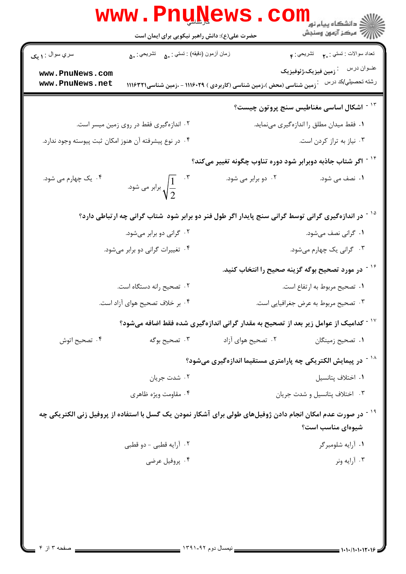|                                                        | <b>www.rnu<u>n</u>ews</b><br>حضرت علی(ع): دانش راهبر نیکویی برای ایمان است                                              | CO.                                                                               | الاد دانشڪاه پيام نور<br>الاس آهي جي سنڊش<br>الاس آهي آرمون وسنڊش |
|--------------------------------------------------------|-------------------------------------------------------------------------------------------------------------------------|-----------------------------------------------------------------------------------|-------------------------------------------------------------------|
| سري سوال : ۱ يک                                        | زمان أزمون (دقيقه) : تستى : ۵۰     تشريحي : ۵۰                                                                          |                                                                                   | نعداد سوالات : نستني : <sub>٢</sub> .       نَشْريحي : م          |
| www.PnuNews.com<br>www.PnuNews.net                     |                                                                                                                         | <sup>:</sup> زمین شناسی (محض )،زمین شناسی (کاربردی ) ۱۱۱۶۰۲۹ - ،زمین شناسی۱۱۱۶۳۲۱ | رشته تحصيلي/كد درس                                                |
|                                                        |                                                                                                                         |                                                                                   | <sup>۱۳ -</sup> اشکال اساسی مغناطیس سنج پروتون چیست؟              |
|                                                        | ۰۲ اندازهگیری فقط در روی زمین میسر است.                                                                                 |                                                                                   | ۰۱ فقط میدان مطلق را اندازهگیری مینماید.                          |
| ۰۴ در نوع پیشرفته آن هنوز امکان ثبت پیوسته وجود ندارد. |                                                                                                                         |                                                                                   | ۰۳ نیاز به تراز کردن است.                                         |
|                                                        |                                                                                                                         | <sup>۱۴ -</sup> اگر شتاب جاذبه دوبرابر شود دوره تناوب چگونه تغییر میکند؟          |                                                                   |
| ۰۴ یک چهارم می شود.                                    | برابر می شود. $\sqrt{\frac{1}{2}}$                                                                                      | ۰۲ دو برابر می شود.                                                               | ۰۱ نصف می شود.                                                    |
|                                                        | <sup>۱۵ -</sup> در اندازهگیری گرانی توسط گرانی سنج پایدار اگر طول فنر دو برابر شود  شتاب گرانی چه ارتباطی دارد؟         |                                                                                   |                                                                   |
|                                                        | ۰۲ گرانی دو برابر میشود.                                                                                                |                                                                                   | ۰۱ گرانی نصف میشود.                                               |
|                                                        | ۰۴ تغییرات گرانی دو برابر میشود.                                                                                        |                                                                                   | ۰۳ گرانی یک چهارم میشود.                                          |
|                                                        |                                                                                                                         |                                                                                   | <sup>۱۶ -</sup> در مورد تصحیح بوگه گزینه صحیح را انتخاب کنید.     |
|                                                        | ٢. تصحيح رانه دستگاه است.                                                                                               |                                                                                   | ٠١ تصحيح مربوط به ارتفاع است.                                     |
|                                                        | ۰۴ بر خلاف تصحیح هوای آزاد است.                                                                                         |                                                                                   | ۰۳ تصحیح مربوط به عرض جغرافیایی است.                              |
|                                                        | <sup>۱۷ -</sup> کدامیک از عوامل زیر بعد از تصحیح به مقدار گرانی اندازهگیری شده فقط اضافه میشود؟                         |                                                                                   |                                                                   |
| ۰۴ تصحیح اتوش                                          | ۰۳ تصحیح بوگه                                                                                                           | ۰۲ تصحیح هوای آزاد                                                                | ۰۱ تصحیح زمینگان                                                  |
|                                                        | <sup>۱۸ -</sup> در پیمایش الکتریکی چه پارامتری مستقیما اندازهگیری میشود؟                                                |                                                                                   |                                                                   |
|                                                        | ۰۲ شدت جریان                                                                                                            |                                                                                   | ٠١ اختلاف پتانسيل                                                 |
|                                                        | ۰۴ مقاومت ویژه ظاهری                                                                                                    |                                                                                   | ٠٣ اختلاف پتانسيل و شدت جريان                                     |
|                                                        | <sup>۱۹ -</sup> در صورت عدم امکان انجام دادن ژوفیلهای طولی برای آشکار نمودن یک گسل با استفاده از پروفیل زنی الکتریکی چه |                                                                                   | شیوهای مناسب است؟                                                 |
|                                                        | ۰۲ آرايه قطبي - دو قطبي                                                                                                 |                                                                                   | ۰۱ آرايه شلومبرگر                                                 |
|                                                        | ۰۴ پروفيل عرضي                                                                                                          |                                                                                   | ۰۳ آرايه ونر                                                      |
|                                                        |                                                                                                                         |                                                                                   |                                                                   |